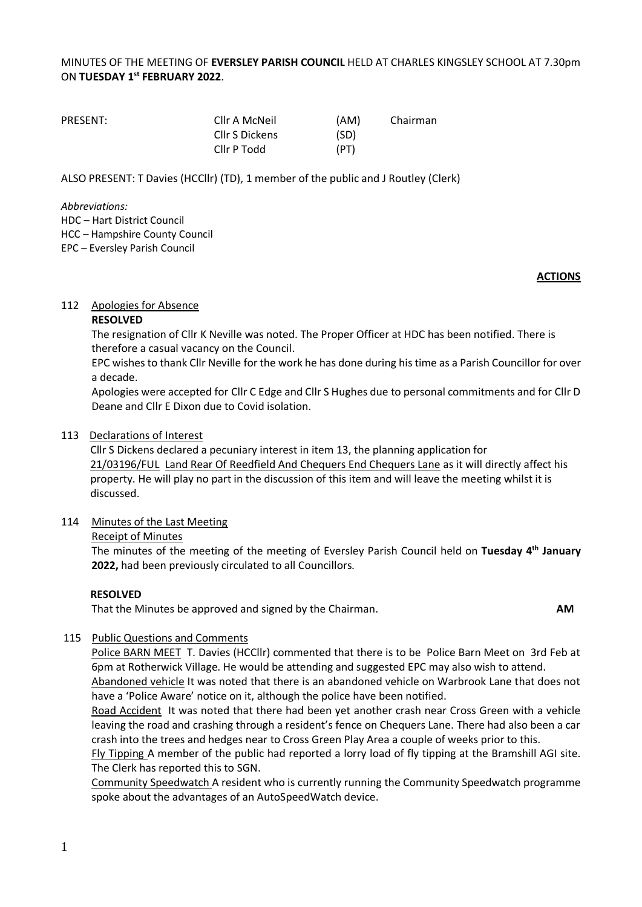## MINUTES OF THE MEETING OF **EVERSLEY PARISH COUNCIL** HELD AT CHARLES KINGSLEY SCHOOL AT 7.30pm ON **TUESDAY 1 st FEBRUARY 2022**.

| PRESENT: | Cllr A McNeil  | (AM) | Chairman |
|----------|----------------|------|----------|
|          | Cllr S Dickens | (SD) |          |
|          | Cllr P Todd    | (PT) |          |

ALSO PRESENT: T Davies (HCCllr) (TD), 1 member of the public and J Routley (Clerk)

*Abbreviations:* 

HDC – Hart District Council HCC – Hampshire County Council

EPC – Eversley Parish Council

#### **ACTIONS**

#### 112 Apologies for Absence

#### **RESOLVED**

The resignation of Cllr K Neville was noted. The Proper Officer at HDC has been notified. There is therefore a casual vacancy on the Council.

EPC wishes to thank Cllr Neville for the work he has done during his time as a Parish Councillor for over a decade.

Apologies were accepted for Cllr C Edge and Cllr S Hughes due to personal commitments and for Cllr D Deane and Cllr E Dixon due to Covid isolation.

#### 113 Declarations of Interest

Cllr S Dickens declared a pecuniary interest in item 13, the planning application for 21/03196/FUL Land Rear Of Reedfield And Chequers End Chequers Lane as it will directly affect his property. He will play no part in the discussion of this item and will leave the meeting whilst it is discussed.

#### 114 Minutes of the Last Meeting

#### Receipt of Minutes

The minutes of the meeting of the meeting of Eversley Parish Council held on **Tuesday 4 th January 2022,** had been previously circulated to all Councillors.

## **RESOLVED**

That the Minutes be approved and signed by the Chairman. **AM**

## 115 Public Questions and Comments

Police BARN MEET T. Davies (HCCllr) commented that there is to be Police Barn Meet on 3rd Feb at 6pm at Rotherwick Village. He would be attending and suggested EPC may also wish to attend. Abandoned vehicle It was noted that there is an abandoned vehicle on Warbrook Lane that does not

have a 'Police Aware' notice on it, although the police have been notified.

Road Accident It was noted that there had been yet another crash near Cross Green with a vehicle leaving the road and crashing through a resident's fence on Chequers Lane. There had also been a car crash into the trees and hedges near to Cross Green Play Area a couple of weeks prior to this.

Fly Tipping A member of the public had reported a lorry load of fly tipping at the Bramshill AGI site. The Clerk has reported this to SGN.

Community Speedwatch A resident who is currently running the Community Speedwatch programme spoke about the advantages of an AutoSpeedWatch device.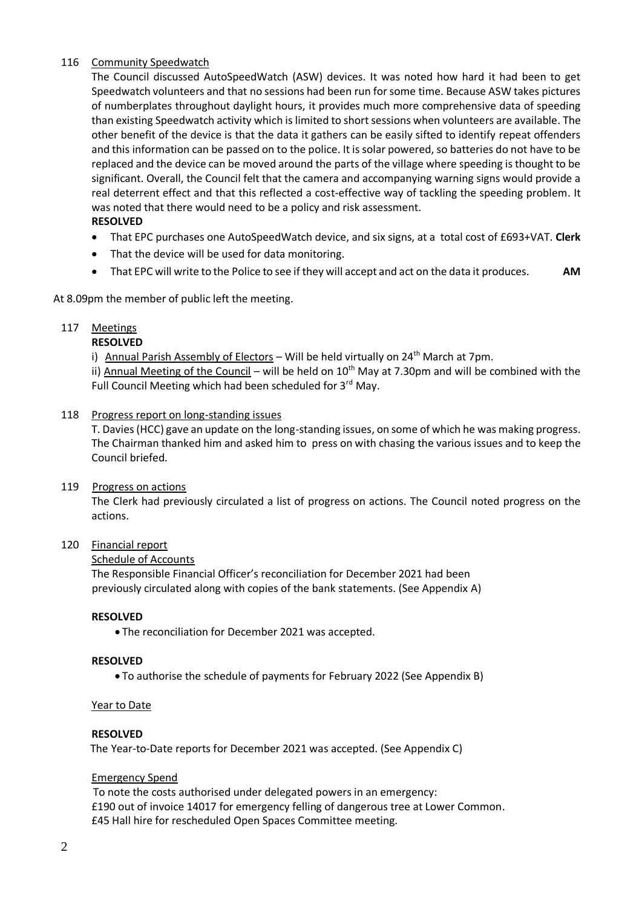#### 116 Community Speedwatch

The Council discussed AutoSpeedWatch (ASW) devices. It was noted how hard it had been to get Speedwatch volunteers and that no sessions had been run for some time. Because ASW takes pictures of numberplates throughout daylight hours, it provides much more comprehensive data of speeding than existing Speedwatch activity which is limited to short sessions when volunteers are available. The other benefit of the device is that the data it gathers can be easily sifted to identify repeat offenders and this information can be passed on to the police. It is solar powered, so batteries do not have to be replaced and the device can be moved around the parts of the village where speeding is thought to be significant. Overall, the Council felt that the camera and accompanying warning signs would provide a real deterrent effect and that this reflected a cost-effective way of tackling the speeding problem. It was noted that there would need to be a policy and risk assessment.

#### **RESOLVED**

- That EPC purchases one AutoSpeedWatch device, and six signs, at a total cost of £693+VAT. **Clerk**
- That the device will be used for data monitoring.
- That EPC will write to the Police to see if they will accept and act on the data it produces. **AM**

At 8.09pm the member of public left the meeting.

#### 117 Meetings

#### **RESOLVED**

i) Annual Parish Assembly of Electors – Will be held virtually on  $24^{th}$  March at 7pm.

ii) Annual Meeting of the Council – will be held on  $10<sup>th</sup>$  May at 7.30pm and will be combined with the Full Council Meeting which had been scheduled for 3rd May.

#### 118 Progress report on long-standing issues

T. Davies (HCC) gave an update on the long-standing issues, on some of which he was making progress. The Chairman thanked him and asked him to press on with chasing the various issues and to keep the Council briefed.

#### 119 Progress on actions

The Clerk had previously circulated a list of progress on actions. The Council noted progress on the actions.

#### 120 Financial report

#### Schedule of Accounts

The Responsible Financial Officer's reconciliation for December 2021 had been previously circulated along with copies of the bank statements. (See Appendix A)

#### **RESOLVED**

• The reconciliation for December 2021 was accepted.

#### **RESOLVED**

• To authorise the schedule of payments for February 2022 (See Appendix B)

#### Year to Date

#### **RESOLVED**

The Year-to-Date reports for December 2021 was accepted. (See Appendix C)

#### Emergency Spend

 To note the costs authorised under delegated powers in an emergency: £190 out of invoice 14017 for emergency felling of dangerous tree at Lower Common. £45 Hall hire for rescheduled Open Spaces Committee meeting.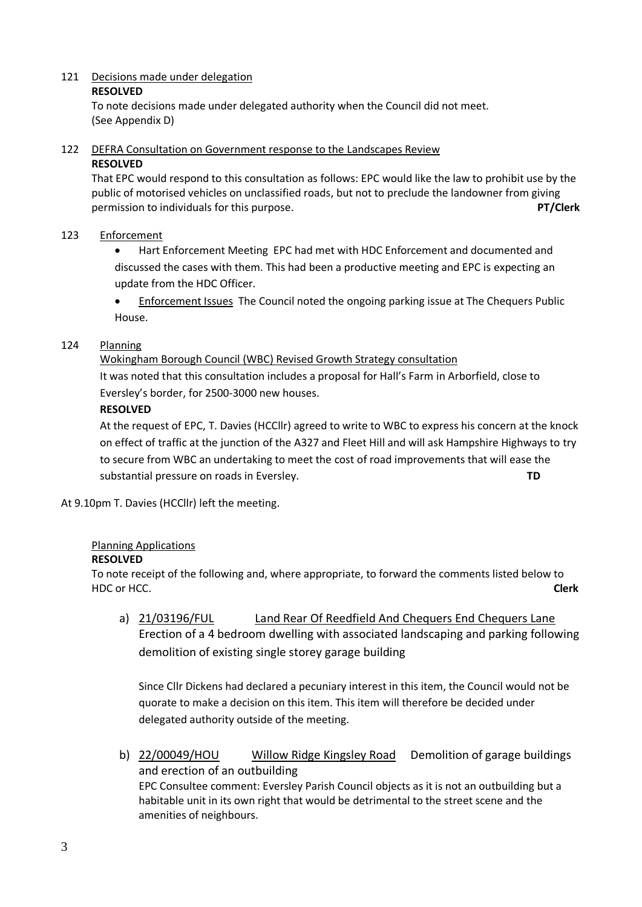### 121 Decisions made under delegation

#### **RESOLVED**

To note decisions made under delegated authority when the Council did not meet. (See Appendix D)

122 DEFRA Consultation on Government response to the Landscapes Review

#### **RESOLVED**

That EPC would respond to this consultation as follows: EPC would like the law to prohibit use by the public of motorised vehicles on unclassified roads, but not to preclude the landowner from giving permission to individuals for this purpose. **PT/Clerk**

# 123 Enforcement

• Hart Enforcement Meeting EPC had met with HDC Enforcement and documented and discussed the cases with them. This had been a productive meeting and EPC is expecting an update from the HDC Officer.

• Enforcement Issues The Council noted the ongoing parking issue at The Chequers Public House.

# 124 Planning

Wokingham Borough Council (WBC) Revised Growth Strategy consultation It was noted that this consultation includes a proposal for Hall's Farm in Arborfield, close to Eversley's border, for 2500-3000 new houses.

# **RESOLVED**

At the request of EPC, T. Davies (HCCllr) agreed to write to WBC to express his concern at the knock on effect of traffic at the junction of the A327 and Fleet Hill and will ask Hampshire Highways to try to secure from WBC an undertaking to meet the cost of road improvements that will ease the substantial pressure on roads in Eversley. **TD**

At 9.10pm T. Davies (HCCllr) left the meeting.

# Planning Applications

## **RESOLVED**

To note receipt of the following and, where appropriate, to forward the comments listed below to HDC or HCC. **Clerk**

a) 21/03196/FUL Land Rear Of Reedfield And Chequers End Chequers Lane Erection of a 4 bedroom dwelling with associated landscaping and parking following demolition of existing single storey garage building

Since Cllr Dickens had declared a pecuniary interest in this item, the Council would not be quorate to make a decision on this item. This item will therefore be decided under delegated authority outside of the meeting.

b) 22/00049/HOU Willow Ridge Kingsley Road Demolition of garage buildings and erection of an outbuilding EPC Consultee comment: Eversley Parish Council objects as it is not an outbuilding but a habitable unit in its own right that would be detrimental to the street scene and the amenities of neighbours.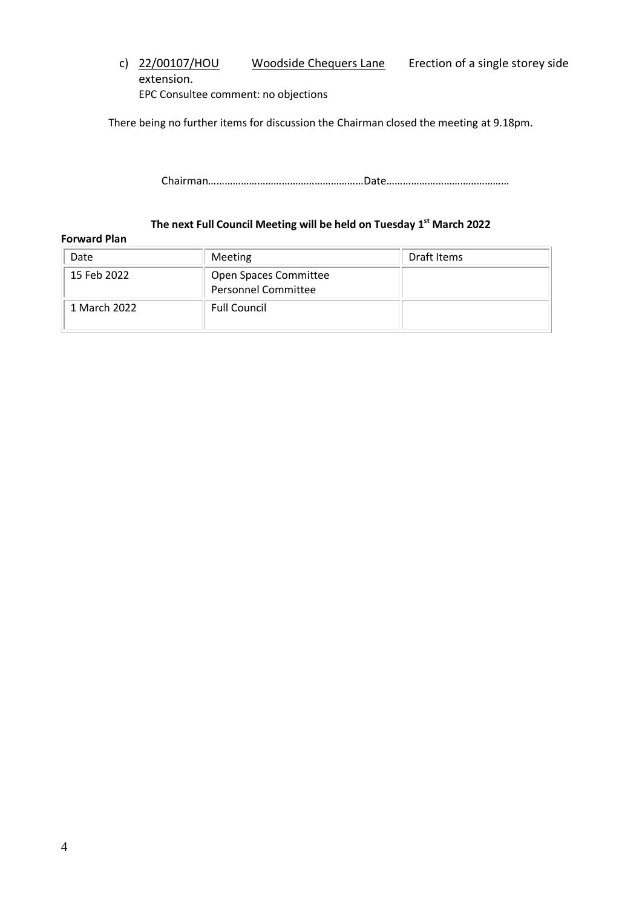c) 22/00107/HOU Woodside Chequers Lane Erection of a single storey side extension. EPC Consultee comment: no objections

There being no further items for discussion the Chairman closed the meeting at 9.18pm.

Chairman…………………………………………………Date………………………………………

# **The next Full Council Meeting will be held on Tuesday 1 st March 2022**

#### **Forward Plan**

| Date         | Meeting                                             | Draft Items |
|--------------|-----------------------------------------------------|-------------|
| 15 Feb 2022  | Open Spaces Committee<br><b>Personnel Committee</b> |             |
| 1 March 2022 | <b>Full Council</b>                                 |             |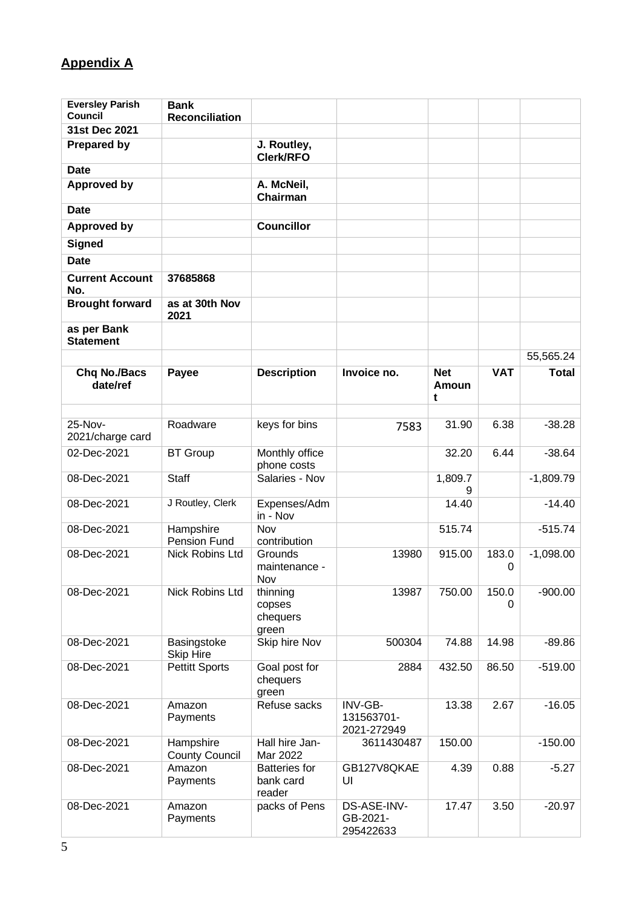# **Appendix A**

| <b>Eversley Parish</b><br><b>Council</b> | <b>Bank</b>                        |                                             |                                      |                          |            |              |
|------------------------------------------|------------------------------------|---------------------------------------------|--------------------------------------|--------------------------|------------|--------------|
| 31st Dec 2021                            | <b>Reconciliation</b>              |                                             |                                      |                          |            |              |
| <b>Prepared by</b>                       |                                    | J. Routley,<br>Clerk/RFO                    |                                      |                          |            |              |
| <b>Date</b>                              |                                    |                                             |                                      |                          |            |              |
| <b>Approved by</b>                       |                                    | A. McNeil,<br>Chairman                      |                                      |                          |            |              |
| <b>Date</b>                              |                                    |                                             |                                      |                          |            |              |
| <b>Approved by</b>                       |                                    | <b>Councillor</b>                           |                                      |                          |            |              |
| <b>Signed</b>                            |                                    |                                             |                                      |                          |            |              |
| <b>Date</b>                              |                                    |                                             |                                      |                          |            |              |
| <b>Current Account</b><br>No.            | 37685868                           |                                             |                                      |                          |            |              |
| <b>Brought forward</b>                   | as at 30th Nov<br>2021             |                                             |                                      |                          |            |              |
| as per Bank<br><b>Statement</b>          |                                    |                                             |                                      |                          |            |              |
|                                          |                                    |                                             |                                      |                          |            | 55,565.24    |
| <b>Chq No./Bacs</b><br>date/ref          | Payee                              | <b>Description</b>                          | Invoice no.                          | <b>Net</b><br>Amoun<br>t | <b>VAT</b> | <b>Total</b> |
|                                          |                                    |                                             |                                      |                          |            |              |
| 25-Nov-<br>2021/charge card              | Roadware                           | keys for bins                               | 7583                                 | 31.90                    | 6.38       | $-38.28$     |
| 02-Dec-2021                              | <b>BT</b> Group                    | Monthly office<br>phone costs               |                                      | 32.20                    | 6.44       | $-38.64$     |
| 08-Dec-2021                              | <b>Staff</b>                       | Salaries - Nov                              |                                      | 1,809.7<br>9             |            | $-1,809.79$  |
| 08-Dec-2021                              | J Routley, Clerk                   | Expenses/Adm<br>in - Nov                    |                                      | 14.40                    |            | $-14.40$     |
| 08-Dec-2021                              | Hampshire<br>Pension Fund          | Nov<br>contribution                         |                                      | 515.74                   |            | $-515.74$    |
| 08-Dec-2021                              | <b>Nick Robins Ltd</b>             | Grounds<br>maintenance -<br>Nov             | 13980                                | 915.00                   | 183.0<br>0 | $-1,098.00$  |
| 08-Dec-2021                              | Nick Robins Ltd                    | thinning<br>copses<br>chequers<br>green     | 13987                                | 750.00                   | 150.0<br>0 | $-900.00$    |
| 08-Dec-2021                              | Basingstoke<br><b>Skip Hire</b>    | Skip hire Nov                               | 500304                               | 74.88                    | 14.98      | $-89.86$     |
| 08-Dec-2021                              | <b>Pettitt Sports</b>              | Goal post for<br>chequers<br>green          | 2884                                 | 432.50                   | 86.50      | $-519.00$    |
| 08-Dec-2021                              | Amazon<br>Payments                 | Refuse sacks                                | INV-GB-<br>131563701-<br>2021-272949 | 13.38                    | 2.67       | $-16.05$     |
| 08-Dec-2021                              | Hampshire<br><b>County Council</b> | Hall hire Jan-<br>Mar 2022                  | 3611430487                           | 150.00                   |            | $-150.00$    |
| 08-Dec-2021                              | Amazon<br>Payments                 | <b>Batteries</b> for<br>bank card<br>reader | GB127V8QKAE<br>UI                    | 4.39                     | 0.88       | $-5.27$      |
| 08-Dec-2021                              | Amazon<br>Payments                 | packs of Pens                               | DS-ASE-INV-<br>GB-2021-<br>295422633 | 17.47                    | 3.50       | $-20.97$     |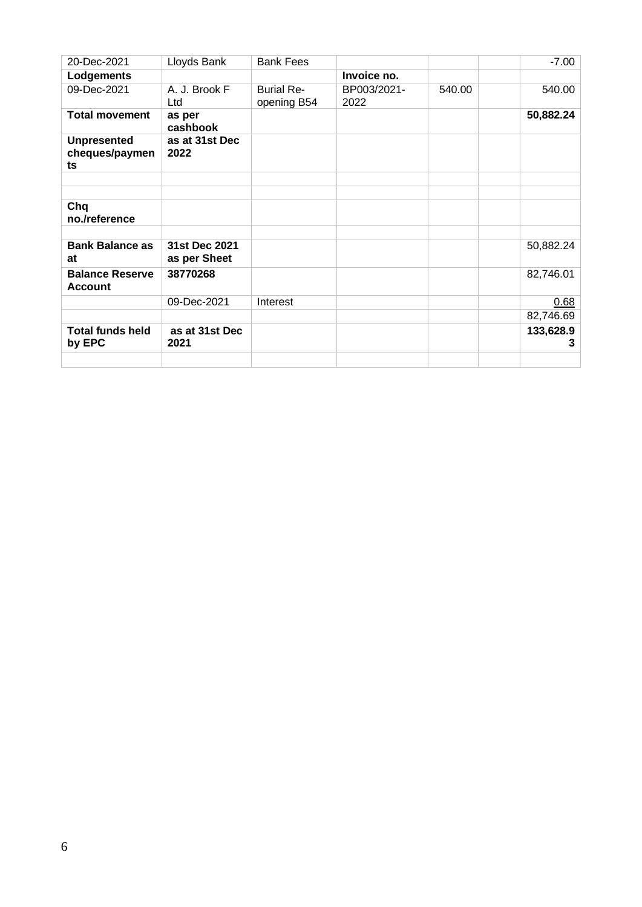| 20-Dec-2021                                | Lloyds Bank                   | <b>Bank Fees</b>                 |                     |        | $-7.00$        |
|--------------------------------------------|-------------------------------|----------------------------------|---------------------|--------|----------------|
| Lodgements                                 |                               |                                  | Invoice no.         |        |                |
| 09-Dec-2021                                | A. J. Brook F<br>Ltd          | <b>Burial Re-</b><br>opening B54 | BP003/2021-<br>2022 | 540.00 | 540.00         |
| <b>Total movement</b>                      | as per<br>cashbook            |                                  |                     |        | 50,882.24      |
| <b>Unpresented</b><br>cheques/paymen<br>ts | as at 31st Dec<br>2022        |                                  |                     |        |                |
|                                            |                               |                                  |                     |        |                |
| Chq<br>no./reference                       |                               |                                  |                     |        |                |
|                                            |                               |                                  |                     |        |                |
| <b>Bank Balance as</b><br>at               | 31st Dec 2021<br>as per Sheet |                                  |                     |        | 50,882.24      |
| <b>Balance Reserve</b><br><b>Account</b>   | 38770268                      |                                  |                     |        | 82,746.01      |
|                                            | 09-Dec-2021                   | Interest                         |                     |        | 0.68           |
|                                            |                               |                                  |                     |        | 82,746.69      |
| <b>Total funds held</b><br>by EPC          | as at 31st Dec<br>2021        |                                  |                     |        | 133,628.9<br>3 |
|                                            |                               |                                  |                     |        |                |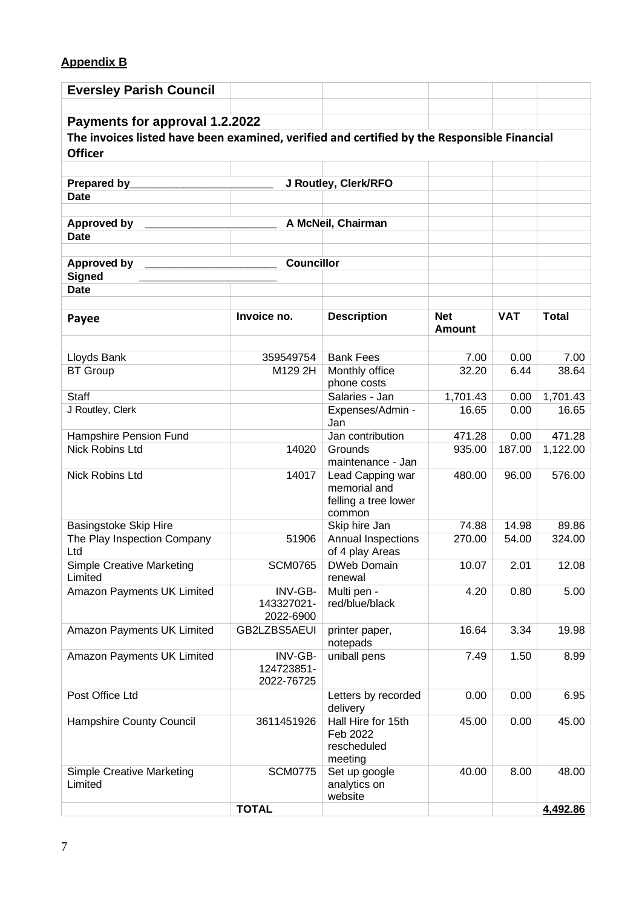# **Appendix B**

| <b>Eversley Parish Council</b>                                                              |                                     |                                                                    |                             |            |              |
|---------------------------------------------------------------------------------------------|-------------------------------------|--------------------------------------------------------------------|-----------------------------|------------|--------------|
| Payments for approval 1.2.2022                                                              |                                     |                                                                    |                             |            |              |
| The invoices listed have been examined, verified and certified by the Responsible Financial |                                     |                                                                    |                             |            |              |
| <b>Officer</b>                                                                              |                                     |                                                                    |                             |            |              |
|                                                                                             |                                     |                                                                    |                             |            |              |
| Prepared by________                                                                         |                                     | J Routley, Clerk/RFO                                               |                             |            |              |
| <b>Date</b>                                                                                 |                                     |                                                                    |                             |            |              |
|                                                                                             |                                     |                                                                    |                             |            |              |
| Approved by<br><b>Date</b>                                                                  |                                     | A McNeil, Chairman                                                 |                             |            |              |
|                                                                                             |                                     |                                                                    |                             |            |              |
| Approved by                                                                                 | <b>Councillor</b>                   |                                                                    |                             |            |              |
| <b>Signed</b>                                                                               |                                     |                                                                    |                             |            |              |
| <b>Date</b>                                                                                 |                                     |                                                                    |                             |            |              |
| Payee                                                                                       | Invoice no.                         | <b>Description</b>                                                 | <b>Net</b><br><b>Amount</b> | <b>VAT</b> | <b>Total</b> |
|                                                                                             |                                     |                                                                    |                             |            |              |
| Lloyds Bank                                                                                 | 359549754                           | <b>Bank Fees</b>                                                   | 7.00                        | 0.00       | 7.00         |
| <b>BT</b> Group                                                                             | M129 2H                             | Monthly office<br>phone costs                                      | 32.20                       | 6.44       | 38.64        |
| <b>Staff</b>                                                                                |                                     | Salaries - Jan                                                     | 1,701.43                    | 0.00       | 1,701.43     |
| J Routley, Clerk                                                                            |                                     | Expenses/Admin -<br>Jan                                            | 16.65                       | 0.00       | 16.65        |
| Hampshire Pension Fund                                                                      |                                     | Jan contribution                                                   | 471.28                      | 0.00       | 471.28       |
| <b>Nick Robins Ltd</b>                                                                      | 14020                               | Grounds<br>maintenance - Jan                                       | 935.00                      | 187.00     | 1,122.00     |
| <b>Nick Robins Ltd</b>                                                                      | 14017                               | Lead Capping war<br>memorial and<br>felling a tree lower<br>common | 480.00                      | 96.00      | 576.00       |
| <b>Basingstoke Skip Hire</b>                                                                |                                     | Skip hire Jan                                                      | 74.88                       | 14.98      | 89.86        |
| The Play Inspection Company<br>Ltd                                                          | 51906                               | Annual Inspections<br>of 4 play Areas                              | 270.00                      | 54.00      | 324.00       |
| <b>Simple Creative Marketing</b><br>Limited                                                 |                                     | SCM0765   DWeb Domain<br>renewal                                   | 10.07                       | 2.01       | 12.08        |
| Amazon Payments UK Limited                                                                  | INV-GB-<br>143327021-<br>2022-6900  | Multi pen -<br>red/blue/black                                      | 4.20                        | 0.80       | 5.00         |
| Amazon Payments UK Limited                                                                  | GB2LZBS5AEUI                        | printer paper,<br>notepads                                         | 16.64                       | 3.34       | 19.98        |
| Amazon Payments UK Limited                                                                  | INV-GB-<br>124723851-<br>2022-76725 | uniball pens                                                       | 7.49                        | 1.50       | 8.99         |
| Post Office Ltd                                                                             |                                     | Letters by recorded<br>delivery                                    | 0.00                        | 0.00       | 6.95         |
| Hampshire County Council                                                                    | 3611451926                          | Hall Hire for 15th<br>Feb 2022<br>rescheduled<br>meeting           | 45.00                       | 0.00       | 45.00        |
| <b>Simple Creative Marketing</b><br>Limited                                                 | <b>SCM0775</b>                      | Set up google<br>analytics on<br>website                           | 40.00                       | 8.00       | 48.00        |
|                                                                                             | <b>TOTAL</b>                        |                                                                    |                             |            | 4,492.86     |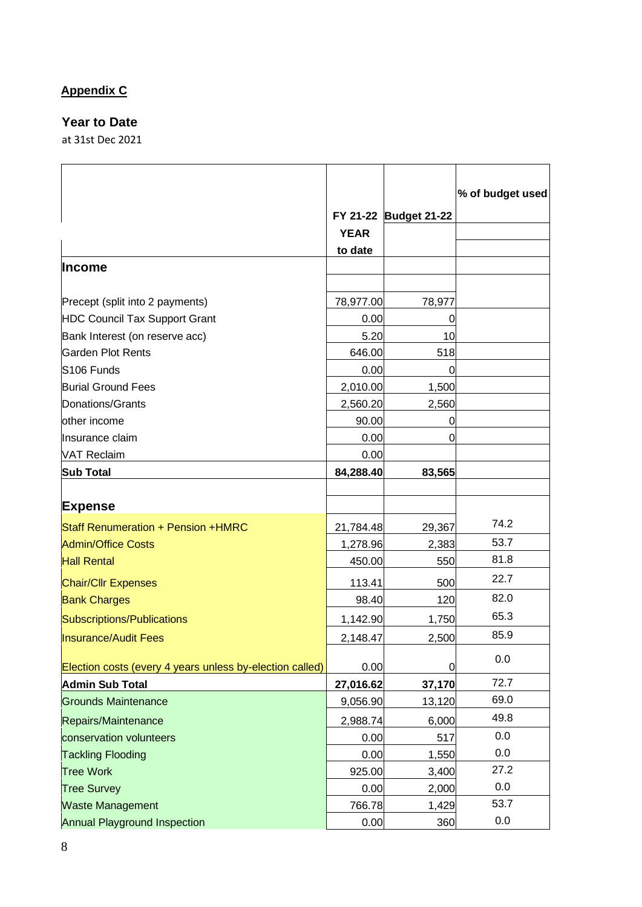# **Appendix C**

# **Year to Date**

at 31st Dec 2021

|                                                          |             | FY 21-22 Budget 21-22 | % of budget used |
|----------------------------------------------------------|-------------|-----------------------|------------------|
|                                                          | <b>YEAR</b> |                       |                  |
|                                                          | to date     |                       |                  |
| <b>Income</b>                                            |             |                       |                  |
| Precept (split into 2 payments)                          | 78,977.00   | 78,977                |                  |
| <b>HDC Council Tax Support Grant</b>                     | 0.00        | 0                     |                  |
| Bank Interest (on reserve acc)                           | 5.20        | 10                    |                  |
| <b>Garden Plot Rents</b>                                 | 646.00      | 518                   |                  |
| S <sub>106</sub> Funds                                   | 0.00        | 0                     |                  |
| <b>Burial Ground Fees</b>                                | 2,010.00    | 1,500                 |                  |
| Donations/Grants                                         | 2,560.20    | 2,560                 |                  |
| other income                                             | 90.00       | 0                     |                  |
| Insurance claim                                          | 0.00        | 0                     |                  |
| <b>VAT Reclaim</b>                                       | 0.00        |                       |                  |
| <b>Sub Total</b>                                         | 84,288.40   | 83,565                |                  |
|                                                          |             |                       |                  |
| <b>Expense</b>                                           |             |                       |                  |
| Staff Renumeration + Pension +HMRC                       | 21,784.48   | 29,367                | 74.2             |
| <b>Admin/Office Costs</b>                                | 1,278.96    | 2,383                 | 53.7             |
| <b>Hall Rental</b>                                       | 450.00      | 550                   | 81.8             |
| <b>Chair/Cllr Expenses</b>                               | 113.41      | 500                   | 22.7             |
| <b>Bank Charges</b>                                      | 98.40       | 120                   | 82.0             |
| <b>Subscriptions/Publications</b>                        | 1,142.90    | 1,750                 | 65.3             |
| <b>Insurance/Audit Fees</b>                              | 2,148.47    | 2,500                 | 85.9             |
| Election costs (every 4 years unless by-election called) | 0.00        | $\mathbf 0$           | 0.0              |
| <b>Admin Sub Total</b>                                   | 27,016.62   | 37,170                | 72.7             |
| <b>Grounds Maintenance</b>                               | 9,056.90    | 13,120                | 69.0             |
| Repairs/Maintenance                                      | 2,988.74    | 6,000                 | 49.8             |
| conservation volunteers                                  | 0.00        | 517                   | 0.0              |
| <b>Tackling Flooding</b>                                 | 0.00        | 1,550                 | 0.0              |
| <b>Tree Work</b>                                         | 925.00      | 3,400                 | 27.2             |
| <b>Tree Survey</b>                                       | 0.00        | 2,000                 | 0.0              |
| <b>Waste Management</b>                                  | 766.78      | 1,429                 | 53.7             |
| <b>Annual Playground Inspection</b>                      | 0.00        | 360                   | 0.0              |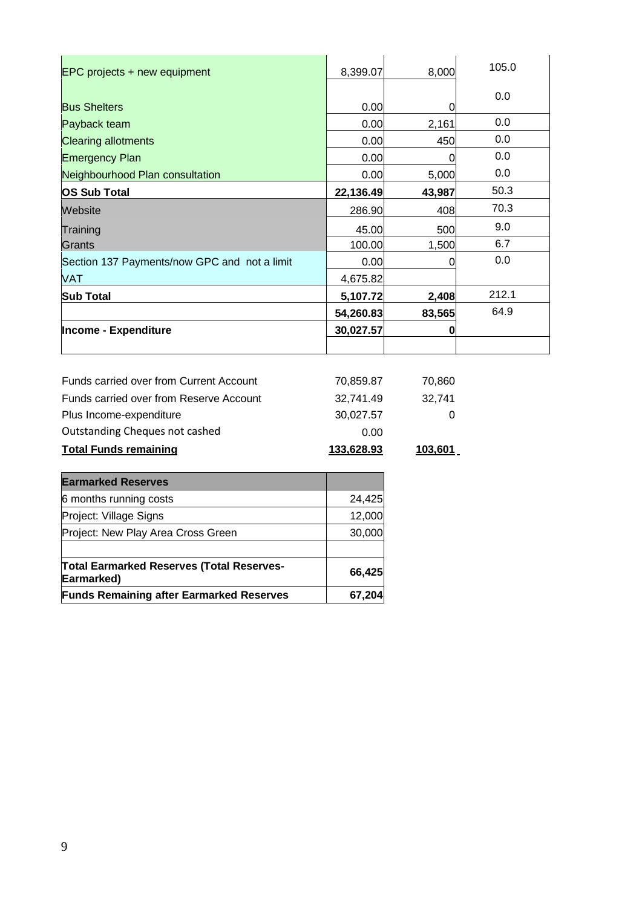| EPC projects + new equipment                 | 8,399.07  | 8,000    | 105.0 |
|----------------------------------------------|-----------|----------|-------|
| <b>Bus Shelters</b>                          | 0.00      | O        | 0.0   |
| Payback team                                 | 0.00      | 2,161    | 0.0   |
| <b>Clearing allotments</b>                   | 0.00      | 450      | 0.0   |
| <b>Emergency Plan</b>                        | 0.00      | U        | 0.0   |
| Neighbourhood Plan consultation              | 0.00      | 5,000    | 0.0   |
| OS Sub Total                                 | 22,136.49 | 43,987   | 50.3  |
| Website                                      | 286.90    | 408      | 70.3  |
| Training                                     | 45.00     | 500      | 9.0   |
| Grants                                       | 100.00    | 1,500    | 6.7   |
| Section 137 Payments/now GPC and not a limit | 0.00      | 0        | 0.0   |
| <b>VAT</b>                                   | 4,675.82  |          |       |
| <b>Sub Total</b>                             | 5,107.72  | 2,408    | 212.1 |
|                                              | 54,260.83 | 83,565   | 64.9  |
| <b>Income - Expenditure</b>                  | 30,027.57 | $\Omega$ |       |
|                                              |           |          |       |

| <b>Total Funds remaining</b>            | 133,628.93 | 103,601 |
|-----------------------------------------|------------|---------|
| Outstanding Cheques not cashed          | 0.00       |         |
| Plus Income-expenditure                 | 30,027.57  |         |
| Funds carried over from Reserve Account | 32.741.49  | 32.741  |
| Funds carried over from Current Account | 70,859.87  | 70.860  |

| <b>Earmarked Reserves</b>                                      |        |
|----------------------------------------------------------------|--------|
| 6 months running costs                                         | 24,425 |
| Project: Village Signs                                         | 12,000 |
| Project: New Play Area Cross Green                             | 30,000 |
| <b>Total Earmarked Reserves (Total Reserves-</b><br>Earmarked) | 66,425 |
| <b>Funds Remaining after Earmarked Reserves</b>                |        |